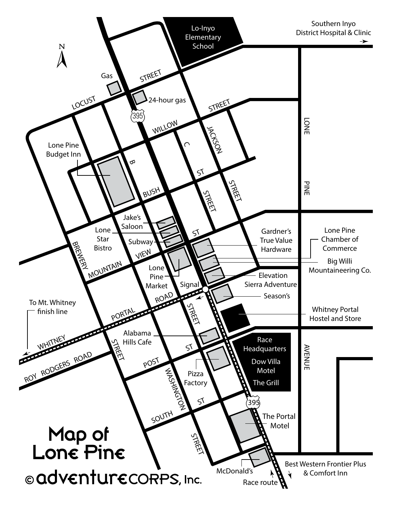